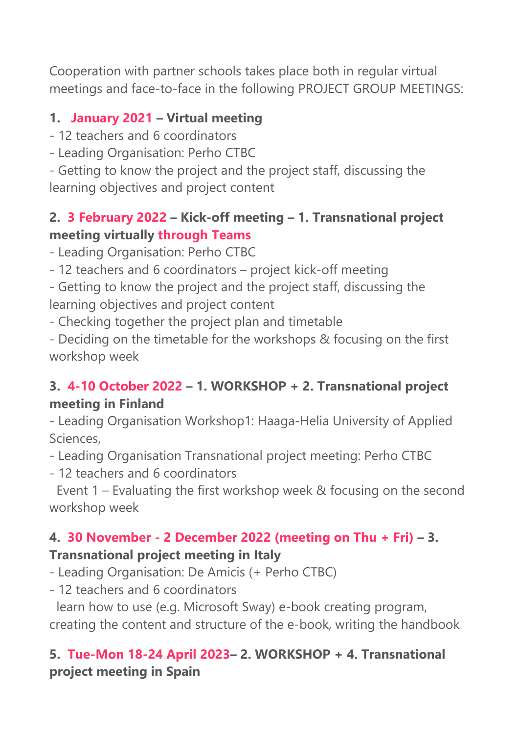Cooperation with partner schools takes place both in regular virtual meetings and face-to-face in the following PROJECT GROUP MEETINGS:

### **1. January 2021 – Virtual meeting**

- 12 teachers and 6 coordinators
- Leading Organisation: Perho CTBC

- Getting to know the project and the project staff, discussing the learning objectives and project content

#### **2. 3 February 2022 – Kick-off meeting – 1. Transnational project meeting virtually through Teams**

- Leading Organisation: Perho CTBC

- 12 teachers and 6 coordinators – project kick-off meeting

- Getting to know the project and the project staff, discussing the learning objectives and project content

- Checking together the project plan and timetable

- Deciding on the timetable for the workshops & focusing on the first workshop week

## **3. 4-10 October 2022 – 1. WORKSHOP + 2. Transnational project meeting in Finland**

- Leading Organisation Workshop1: Haaga-Helia University of Applied Sciences,

- Leading Organisation Transnational project meeting: Perho CTBC

- 12 teachers and 6 coordinators

Event 1 – Evaluating the first workshop week & focusing on the second workshop week

# **4. 30 November - 2 December 2022 (meeting on Thu + Fri) – 3.**

## **Transnational project meeting in Italy**

- Leading Organisation: De Amicis (+ Perho CTBC)

- 12 teachers and 6 coordinators

learn how to use (e.g. Microsoft Sway) e-book creating program, creating the content and structure of the e-book, writing the handbook

## **5. Tue-Mon 18-24 April 2023– 2. WORKSHOP + 4. Transnational project meeting in Spain**